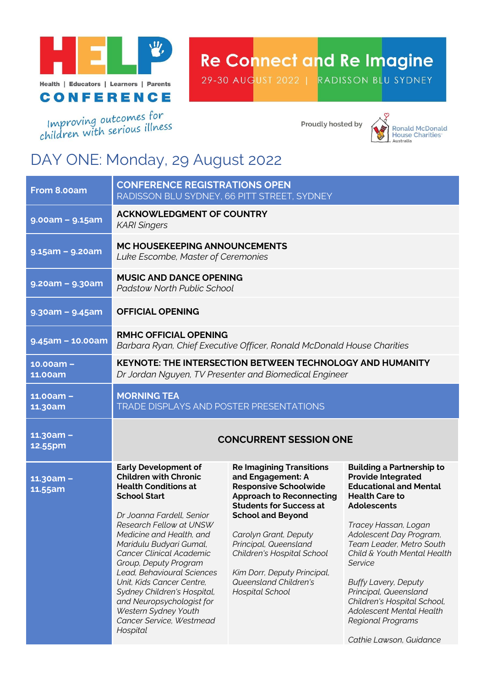

## **Re Connect and Re Imagine**

29-30 AUGUST 2022 | RADISSON BLU SYDNEY

Improving outcomes for<br>children with serious illness

Proudly hosted by



## DAY ONE: Monday, 29 August 2022

| <b>CONFERENCE REGISTRATIONS OPEN</b><br>RADISSON BLU SYDNEY, 66 PITT STREET, SYDNEY                                                                                                                                                                                                   |                                                                                                                                                                                                                                                                       |                                                                                                                                                                                                                                                                        |
|---------------------------------------------------------------------------------------------------------------------------------------------------------------------------------------------------------------------------------------------------------------------------------------|-----------------------------------------------------------------------------------------------------------------------------------------------------------------------------------------------------------------------------------------------------------------------|------------------------------------------------------------------------------------------------------------------------------------------------------------------------------------------------------------------------------------------------------------------------|
| <b>ACKNOWLEDGMENT OF COUNTRY</b><br><b>KARI Singers</b>                                                                                                                                                                                                                               |                                                                                                                                                                                                                                                                       |                                                                                                                                                                                                                                                                        |
| MC HOUSEKEEPING ANNOUNCEMENTS<br>Luke Escombe, Master of Ceremonies                                                                                                                                                                                                                   |                                                                                                                                                                                                                                                                       |                                                                                                                                                                                                                                                                        |
| <b>MUSIC AND DANCE OPENING</b><br><b>Padstow North Public School</b>                                                                                                                                                                                                                  |                                                                                                                                                                                                                                                                       |                                                                                                                                                                                                                                                                        |
| <b>OFFICIAL OPENING</b>                                                                                                                                                                                                                                                               |                                                                                                                                                                                                                                                                       |                                                                                                                                                                                                                                                                        |
| <b>RMHC OFFICIAL OPENING</b><br>Barbara Ryan, Chief Executive Officer, Ronald McDonald House Charities                                                                                                                                                                                |                                                                                                                                                                                                                                                                       |                                                                                                                                                                                                                                                                        |
| <b>KEYNOTE: THE INTERSECTION BETWEEN TECHNOLOGY AND HUMANITY</b><br>Dr Jordan Nguyen, TV Presenter and Biomedical Engineer                                                                                                                                                            |                                                                                                                                                                                                                                                                       |                                                                                                                                                                                                                                                                        |
| <b>MORNING TEA</b><br>TRADE DISPLAYS AND POSTER PRESENTATIONS                                                                                                                                                                                                                         |                                                                                                                                                                                                                                                                       |                                                                                                                                                                                                                                                                        |
| <b>CONCURRENT SESSION ONE</b>                                                                                                                                                                                                                                                         |                                                                                                                                                                                                                                                                       |                                                                                                                                                                                                                                                                        |
| <b>Early Development of</b><br><b>Children with Chronic</b><br><b>Health Conditions at</b><br><b>School Start</b><br>Dr Joanna Fardell, Senior<br>Research Fellow at UNSW<br>Medicine and Health, and<br>Maridulu Budyari Gumal,<br>Cancer Clinical Academic<br>Group, Deputy Program | <b>Re Imagining Transitions</b><br>and Engagement: A<br><b>Responsive Schoolwide</b><br><b>Approach to Reconnecting</b><br><b>Students for Success at</b><br><b>School and Beyond</b><br>Carolyn Grant, Deputy<br>Principal, Queensland<br>Children's Hospital School | <b>Building a Partnership to</b><br><b>Provide Integrated</b><br><b>Educational and Mental</b><br><b>Health Care to</b><br><b>Adolescents</b><br>Tracey Hassan, Logan<br>Adolescent Day Program,<br>Team Leader, Metro South<br>Child & Youth Mental Health<br>Service |
|                                                                                                                                                                                                                                                                                       |                                                                                                                                                                                                                                                                       |                                                                                                                                                                                                                                                                        |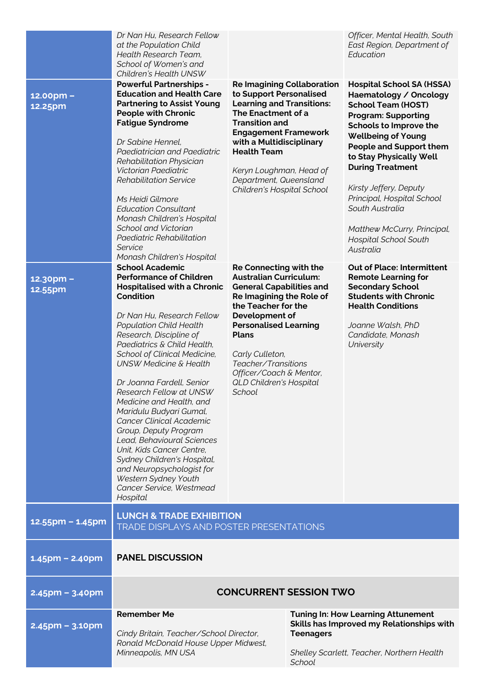|                                                 | Dr Nan Hu, Research Fellow<br>at the Population Child<br>Health Research Team,<br>School of Women's and<br>Children's Health UNSW                                                                                                                                                                                                                                                                                                                                                                                                                                                                                                                                                                                                                                                                                                                                                                                                                                                                                                                                                                                                                      |                                                                                                                                                                                                                                                                                                                                                                                                                                                                                                                                                                                                                    |                                   | Officer, Mental Health, South<br>East Region, Department of<br>Education                                                                                                                                                                                                                                                                                                                                                                                                                                                                                                                                                                      |
|-------------------------------------------------|--------------------------------------------------------------------------------------------------------------------------------------------------------------------------------------------------------------------------------------------------------------------------------------------------------------------------------------------------------------------------------------------------------------------------------------------------------------------------------------------------------------------------------------------------------------------------------------------------------------------------------------------------------------------------------------------------------------------------------------------------------------------------------------------------------------------------------------------------------------------------------------------------------------------------------------------------------------------------------------------------------------------------------------------------------------------------------------------------------------------------------------------------------|--------------------------------------------------------------------------------------------------------------------------------------------------------------------------------------------------------------------------------------------------------------------------------------------------------------------------------------------------------------------------------------------------------------------------------------------------------------------------------------------------------------------------------------------------------------------------------------------------------------------|-----------------------------------|-----------------------------------------------------------------------------------------------------------------------------------------------------------------------------------------------------------------------------------------------------------------------------------------------------------------------------------------------------------------------------------------------------------------------------------------------------------------------------------------------------------------------------------------------------------------------------------------------------------------------------------------------|
| 12.00pm -<br>12.25pm<br>$12.30$ pm -<br>12.55pm | <b>Powerful Partnerships -</b><br><b>Education and Health Care</b><br><b>Partnering to Assist Young</b><br><b>People with Chronic</b><br><b>Fatigue Syndrome</b><br>Dr Sabine Hennel,<br>Paediatrician and Paediatric<br>Rehabilitation Physician<br>Victorian Paediatric<br><b>Rehabilitation Service</b><br>Ms Heidi Gilmore<br><b>Education Consultant</b><br>Monash Children's Hospital<br>School and Victorian<br>Paediatric Rehabilitation<br>Service<br>Monash Children's Hospital<br><b>School Academic</b><br><b>Performance of Children</b><br><b>Hospitalised with a Chronic</b><br>Condition<br>Dr Nan Hu, Research Fellow<br><b>Population Child Health</b><br>Research, Discipline of<br>Paediatrics & Child Health,<br>School of Clinical Medicine,<br><b>UNSW Medicine &amp; Health</b><br>Dr Joanna Fardell, Senior<br>Research Fellow at UNSW<br>Medicine and Health, and<br>Maridulu Budyari Gumal,<br>Cancer Clinical Academic<br>Group, Deputy Program<br>Lead, Behavioural Sciences<br>Unit, Kids Cancer Centre,<br>Sydney Children's Hospital,<br>and Neuropsychologist for<br>Western Sydney Youth<br>Cancer Service, Westmead | to Support Personalised<br><b>Learning and Transitions:</b><br>The Enactment of a<br><b>Transition and</b><br><b>Engagement Framework</b><br>with a Multidisciplinary<br><b>Health Team</b><br>Keryn Loughman, Head of<br>Department, Queensland<br>Children's Hospital School<br><b>Re Connecting with the</b><br><b>Australian Curriculum:</b><br><b>General Capabilities and</b><br>Re Imagining the Role of<br>the Teacher for the<br>Development of<br><b>Personalised Learning</b><br><b>Plans</b><br>Carly Culleton,<br>Teacher/Transitions<br>Officer/Coach & Mentor,<br>QLD Children's Hospital<br>School | <b>Re Imagining Collaboration</b> | <b>Hospital School SA (HSSA)</b><br>Haematology / Oncology<br><b>School Team (HOST)</b><br><b>Program: Supporting</b><br>Schools to Improve the<br><b>Wellbeing of Young</b><br><b>People and Support them</b><br>to Stay Physically Well<br><b>During Treatment</b><br>Kirsty Jeffery, Deputy<br>Principal, Hospital School<br>South Australia<br>Matthew McCurry, Principal,<br><b>Hospital School South</b><br>Australia<br><b>Out of Place: Intermittent</b><br><b>Remote Learning for</b><br><b>Secondary School</b><br><b>Students with Chronic</b><br><b>Health Conditions</b><br>Joanne Walsh, PhD<br>Candidate, Monash<br>University |
| 12.55pm - 1.45pm                                | Hospital<br><b>LUNCH &amp; TRADE EXHIBITION</b>                                                                                                                                                                                                                                                                                                                                                                                                                                                                                                                                                                                                                                                                                                                                                                                                                                                                                                                                                                                                                                                                                                        |                                                                                                                                                                                                                                                                                                                                                                                                                                                                                                                                                                                                                    |                                   |                                                                                                                                                                                                                                                                                                                                                                                                                                                                                                                                                                                                                                               |
| $1.45$ pm – 2.40pm                              | TRADE DISPLAYS AND POSTER PRESENTATIONS<br><b>PANEL DISCUSSION</b>                                                                                                                                                                                                                                                                                                                                                                                                                                                                                                                                                                                                                                                                                                                                                                                                                                                                                                                                                                                                                                                                                     |                                                                                                                                                                                                                                                                                                                                                                                                                                                                                                                                                                                                                    |                                   |                                                                                                                                                                                                                                                                                                                                                                                                                                                                                                                                                                                                                                               |
| $2.45$ pm – 3.40pm                              | <b>CONCURRENT SESSION TWO</b>                                                                                                                                                                                                                                                                                                                                                                                                                                                                                                                                                                                                                                                                                                                                                                                                                                                                                                                                                                                                                                                                                                                          |                                                                                                                                                                                                                                                                                                                                                                                                                                                                                                                                                                                                                    |                                   |                                                                                                                                                                                                                                                                                                                                                                                                                                                                                                                                                                                                                                               |
| $2.45$ pm – 3.10pm                              | <b>Remember Me</b><br>Cindy Britain, Teacher/School Director,<br>Ronald McDonald House Upper Midwest,<br>Minneapolis, MN USA                                                                                                                                                                                                                                                                                                                                                                                                                                                                                                                                                                                                                                                                                                                                                                                                                                                                                                                                                                                                                           |                                                                                                                                                                                                                                                                                                                                                                                                                                                                                                                                                                                                                    | <b>Teenagers</b><br>School        | <b>Tuning In: How Learning Attunement</b><br>Skills has Improved my Relationships with<br>Shelley Scarlett, Teacher, Northern Health                                                                                                                                                                                                                                                                                                                                                                                                                                                                                                          |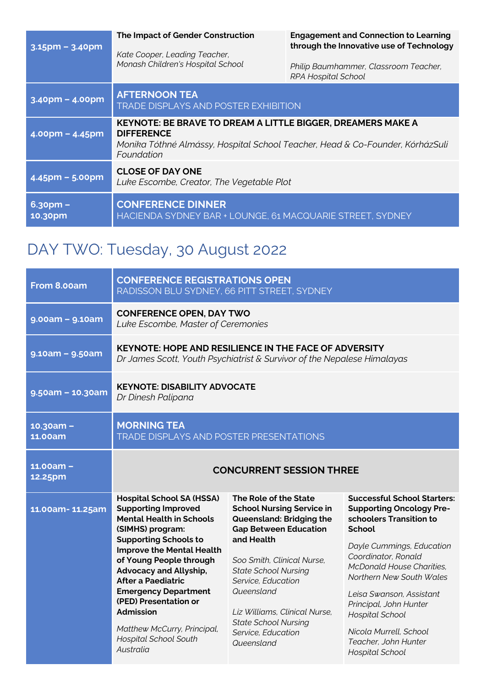| $3.15$ pm – $3.40$ pm  | The Impact of Gender Construction<br>Kate Cooper, Leading Teacher,<br>Monash Children's Hospital School                                                                                | <b>Engagement and Connection to Learning</b><br>through the Innovative use of Technology<br>Philip Baumhammer, Classroom Teacher,<br><b>RPA Hospital School</b> |  |
|------------------------|----------------------------------------------------------------------------------------------------------------------------------------------------------------------------------------|-----------------------------------------------------------------------------------------------------------------------------------------------------------------|--|
| $3.40$ pm – $4.00$ pm  | <b>AFTERNOON TEA</b><br><b>TRADE DISPLAYS AND POSTER EXHIBITION</b>                                                                                                                    |                                                                                                                                                                 |  |
| $4.00$ pm – $4.45$ pm  | <b>KEYNOTE: BE BRAVE TO DREAM A LITTLE BIGGER, DREAMERS MAKE A</b><br><b>DIFFERENCE</b><br>Monika Tóthné Almássy, Hospital School Teacher, Head & Co-Founder, KórházSuli<br>Foundation |                                                                                                                                                                 |  |
| $4.45$ pm – 5.00pm     | <b>CLOSE OF DAY ONE</b><br>Luke Escombe, Creator, The Vegetable Plot                                                                                                                   |                                                                                                                                                                 |  |
| $6.3$ opm –<br>10.30pm | <b>CONFERENCE DINNER</b><br>HACIENDA SYDNEY BAR + LOUNGE, 61 MACQUARIE STREET, SYDNEY                                                                                                  |                                                                                                                                                                 |  |

## DAY TWO: Tuesday, 30 August 2022

| From 8.00am                   | <b>CONFERENCE REGISTRATIONS OPEN</b><br>RADISSON BLU SYDNEY, 66 PITT STREET, SYDNEY                                                                                                                                                                                                                                                                                                                                                        |                                                                                                                                                                                                                                                                                                                                          |                                                                                                                                                                                                                                                                                                                                                                                     |  |
|-------------------------------|--------------------------------------------------------------------------------------------------------------------------------------------------------------------------------------------------------------------------------------------------------------------------------------------------------------------------------------------------------------------------------------------------------------------------------------------|------------------------------------------------------------------------------------------------------------------------------------------------------------------------------------------------------------------------------------------------------------------------------------------------------------------------------------------|-------------------------------------------------------------------------------------------------------------------------------------------------------------------------------------------------------------------------------------------------------------------------------------------------------------------------------------------------------------------------------------|--|
| $9.00am - 9.10am$             | <b>CONFERENCE OPEN, DAY TWO</b><br>Luke Escombe, Master of Ceremonies                                                                                                                                                                                                                                                                                                                                                                      |                                                                                                                                                                                                                                                                                                                                          |                                                                                                                                                                                                                                                                                                                                                                                     |  |
| $9.10am - 9.50am$             | <b>KEYNOTE: HOPE AND RESILIENCE IN THE FACE OF ADVERSITY</b><br>Dr James Scott, Youth Psychiatrist & Survivor of the Nepalese Himalayas                                                                                                                                                                                                                                                                                                    |                                                                                                                                                                                                                                                                                                                                          |                                                                                                                                                                                                                                                                                                                                                                                     |  |
| $9.50am - 10.30am$            | <b>KEYNOTE: DISABILITY ADVOCATE</b><br>Dr Dinesh Palipana                                                                                                                                                                                                                                                                                                                                                                                  |                                                                                                                                                                                                                                                                                                                                          |                                                                                                                                                                                                                                                                                                                                                                                     |  |
| $10.30am -$<br><b>11.00am</b> | <b>MORNING TEA</b><br><b>TRADE DISPLAYS AND POSTER PRESENTATIONS</b>                                                                                                                                                                                                                                                                                                                                                                       |                                                                                                                                                                                                                                                                                                                                          |                                                                                                                                                                                                                                                                                                                                                                                     |  |
| $11.00am -$<br>12.25pm        | <b>CONCURRENT SESSION THREE</b>                                                                                                                                                                                                                                                                                                                                                                                                            |                                                                                                                                                                                                                                                                                                                                          |                                                                                                                                                                                                                                                                                                                                                                                     |  |
| 11.00am-11.25am               | <b>Hospital School SA (HSSA)</b><br><b>Supporting Improved</b><br><b>Mental Health in Schools</b><br>(SIMHS) program:<br><b>Supporting Schools to</b><br><b>Improve the Mental Health</b><br>of Young People through<br><b>Advocacy and Allyship,</b><br><b>After a Paediatric</b><br><b>Emergency Department</b><br>(PED) Presentation or<br><b>Admission</b><br>Matthew McCurry, Principal,<br><b>Hospital School South</b><br>Australia | The Role of the State<br><b>School Nursing Service in</b><br>Queensland: Bridging the<br><b>Gap Between Education</b><br>and Health<br>Soo Smith, Clinical Nurse,<br><b>State School Nursing</b><br>Service, Education<br>Queensland<br>Liz Williams, Clinical Nurse,<br><b>State School Nursing</b><br>Service, Education<br>Queensland | <b>Successful School Starters:</b><br><b>Supporting Oncology Pre-</b><br>schoolers Transition to<br>School<br>Dayle Cummings, Education<br>Coordinator, Ronald<br><b>McDonald House Charities,</b><br>Northern New South Wales<br>Leisa Swanson, Assistant<br>Principal, John Hunter<br><b>Hospital School</b><br>Nicola Murrell, School<br>Teacher, John Hunter<br>Hospital School |  |